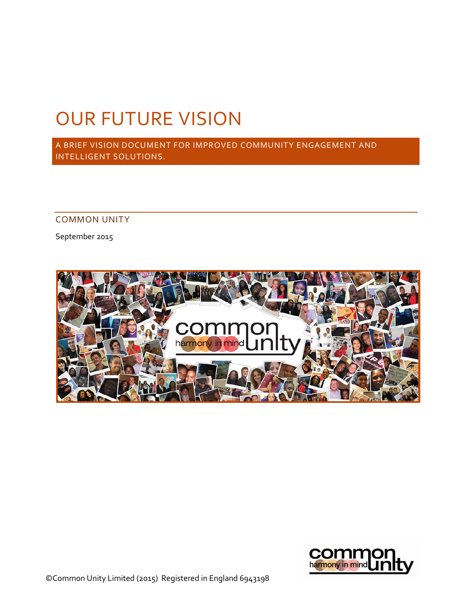# OUR FUTURE VISION

A BRIEF VISION DOCUMENT FOR IMPROVED COMMUNITY ENGAGEMENT AND INTELLIGENT SOLUTIONS.

COMMON UNITY

September 2015



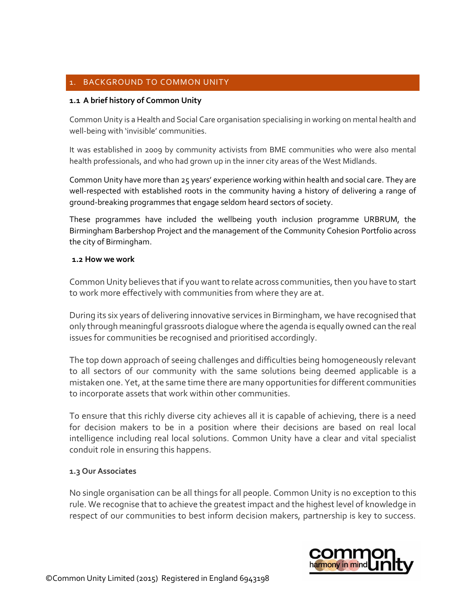# 1. BACKGROUND TO COMMON UNITY

#### **1.1 A brief history of Common Unity**

Common Unity is a Health and Social Care organisation specialising in working on mental health and well-being with 'invisible' communities.

It was established in 2009 by community activists from BME communities who were also mental health professionals, and who had grown up in the inner city areas of the West Midlands.

Common Unity have more than 25 years' experience working within health and social care. They are well-respected with established roots in the community having a history of delivering a range of ground-breaking programmes that engage seldom heard sectors of society.

These programmes have included the wellbeing youth inclusion programme URBRUM, the Birmingham Barbershop Project and the management of the Community Cohesion Portfolio across the city of Birmingham.

#### **1.2 How we work**

Common Unity believes that if you want to relate across communities, then you have to start to work more effectively with communities from where they are at.

During its six years of delivering innovative services in Birmingham, we have recognised that only through meaningful grassroots dialogue where the agenda is equally owned can the real issues for communities be recognised and prioritised accordingly.

The top down approach of seeing challenges and difficulties being homogeneously relevant to all sectors of our community with the same solutions being deemed applicable is a mistaken one. Yet, at the same time there are many opportunities for different communities to incorporate assets that work within other communities.

To ensure that this richly diverse city achieves all it is capable of achieving, there is a need for decision makers to be in a position where their decisions are based on real local intelligence including real local solutions. Common Unity have a clear and vital specialist conduit role in ensuring this happens.

#### **1.3 Our Associates**

No single organisation can be all things for all people. Common Unity is no exception to this rule. We recognise that to achieve the greatest impact and the highest level of knowledge in respect of our communities to best inform decision makers, partnership is key to success.

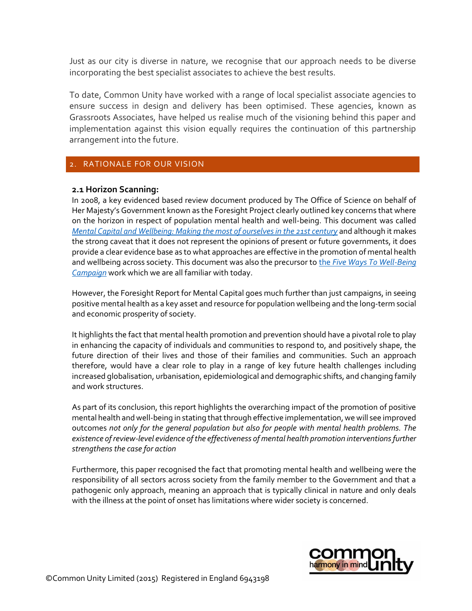Just as our city is diverse in nature, we recognise that our approach needs to be diverse incorporating the best specialist associates to achieve the best results.

To date, Common Unity have worked with a range of local specialist associate agencies to ensure success in design and delivery has been optimised. These agencies, known as Grassroots Associates, have helped us realise much of the visioning behind this paper and implementation against this vision equally requires the continuation of this partnership arrangement into the future.

## 2. RATIONALE FOR OUR VISION

#### **2.1 Horizon Scanning:**

In 2008, a key evidenced based review document produced by The Office of Science on behalf of Her Majesty's Government known as the Foresight Project clearly outlined key concerns that where on the horizon in respect of population mental health and well-being. This document was called *[Mental Capital and Wellbeing: Making the most of ourselves in the 21st century](https://www.gov.uk/government/publications/mental-capital-and-wellbeing-making-the-most-of-ourselves-in-the-21st-century)* and although it makes the strong caveat that it does not represent the opinions of present or future governments, it does provide a clear evidence base as to what approaches are effective in the promotion of mental health and wellbeing across society. This document was also the precursor to *the Five Ways To Well-Being [Campaign](http://www.neweconomics.org/projects/entry/five-ways-to-well-being)* work which we are all familiar with today.

However, the Foresight Report for Mental Capital goes much further than just campaigns, in seeing positive mental health as a key asset and resource for population wellbeing and the long-term social and economic prosperity of society.

It highlights the fact that mental health promotion and prevention should have a pivotal role to play in enhancing the capacity of individuals and communities to respond to, and positively shape, the future direction of their lives and those of their families and communities. Such an approach therefore, would have a clear role to play in a range of key future health challenges including increased globalisation, urbanisation, epidemiological and demographic shifts, and changing family and work structures.

As part of its conclusion, this report highlights the overarching impact of the promotion of positive mental health and well-being in stating that through effective implementation, we will see improved outcomes *not only for the general population but also for people with mental health problems. The existence of review-level evidence of the effectiveness of mental health promotion interventions further strengthens the case for action*

Furthermore, this paper recognised the fact that promoting mental health and wellbeing were the responsibility of all sectors across society from the family member to the Government and that a pathogenic only approach, meaning an approach that is typically clinical in nature and only deals with the illness at the point of onset has limitations where wider society is concerned.

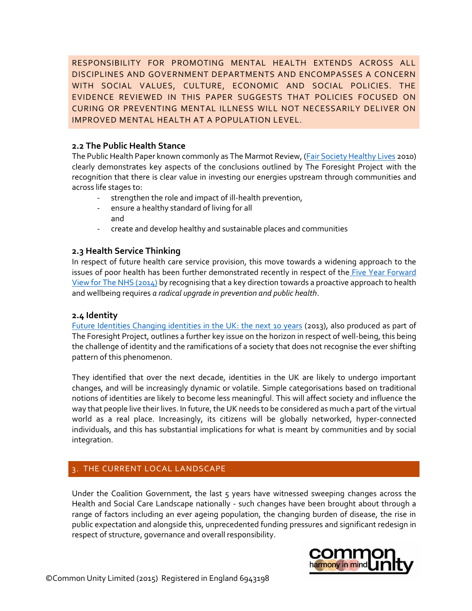RESPONSIBILITY FOR PROMOTING MENTAL HEALTH EXTENDS ACROSS ALL DISCIPLINES AND GOVERNMENT DEPARTMENTS AND ENCOMPASSES A CONCERN WITH SOCIAL VALUES, CULTURE, ECONOMIC AND SOCIAL POLICIES. THE EVIDENCE REVIEWED IN THIS PAPER SUGGESTS THAT POLICIES FOCUSED ON CURING OR PREVENTING MENTAL ILLNESS WILL NOT NECESSARILY DELIVER ON IMPROVED MENTAL HEALTH AT A POPULATION LEVEL.

#### **2.2 The Public Health Stance**

The Public Health Paper known commonly as The Marmot Review, [\(Fair Society Healthy Lives](http://www.instituteofhealthequity.org/Content/FileManager/pdf/fairsocietyhealthylives.pdf) 2010) clearly demonstrates key aspects of the conclusions outlined by The Foresight Project with the recognition that there is clear value in investing our energies upstream through communities and across life stages to:

- strengthen the role and impact of ill-health prevention,
- ensure a healthy standard of living for all and
- create and develop healthy and sustainable places and communities

## **2.3 Health Service Thinking**

In respect of future health care service provision, this move towards a widening approach to the issues of poor health has been further demonstrated recently in respect of the [Five Year Forward](http://www.england.nhs.uk/ourwork/futurenhs/)  [View for The NHS \(2014\)](http://www.england.nhs.uk/ourwork/futurenhs/) by recognising that a key direction towards a proactive approach to health and wellbeing requires *a radical upgrade in prevention and public health*.

#### **2.4 Identity**

[Future Identities Changing identities in the UK: the next 10 years](https://www.gov.uk/government/publications/future-identities-changing-identities-in-the-uk) (2013), also produced as part of The Foresight Project, outlines a further key issue on the horizon in respect of well-being, this being the challenge of identity and the ramifications of a society that does not recognise the ever shifting pattern of this phenomenon.

They identified that over the next decade, identities in the UK are likely to undergo important changes, and will be increasingly dynamic or volatile. Simple categorisations based on traditional notions of identities are likely to become less meaningful. This will affect society and influence the way that people live their lives. In future, the UK needs to be considered as much a part of the virtual world as a real place. Increasingly, its citizens will be globally networked, hyper-connected individuals, and this has substantial implications for what is meant by communities and by social integration.

## 3. THE CURRENT LOCAL LANDSCAPE

Under the Coalition Government, the last 5 years have witnessed sweeping changes across the Health and Social Care Landscape nationally - such changes have been brought about through a range of factors including an ever ageing population, the changing burden of disease, the rise in public expectation and alongside this, unprecedented funding pressures and significant redesign in respect of structure, governance and overall responsibility.

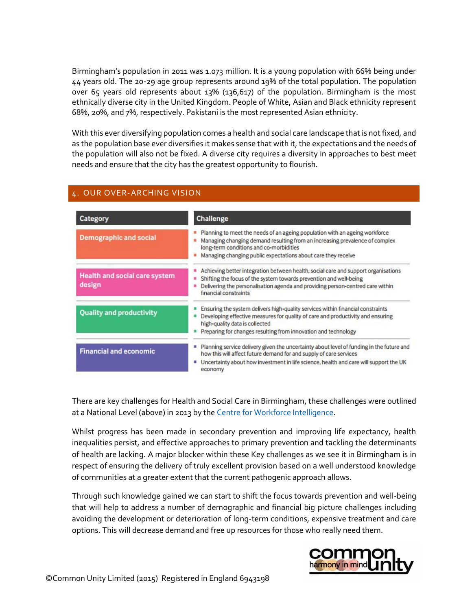Birmingham's population in 2011 was 1.073 million. It is a young population with 66% being under 44 years old. The 20-29 age group represents around 19% of the total population. The population over 65 years old represents about 13% (136,617) of the population. Birmingham is the most ethnically diverse city in the United Kingdom. People of White, Asian and Black ethnicity represent 68%, 20%, and 7%, respectively. Pakistani is the most represented Asian ethnicity.

With this ever diversifying population comes a health and social care landscape that is not fixed, and as the population base ever diversifies it makes sense that with it, the expectations and the needs of the population will also not be fixed. A diverse city requires a diversity in approaches to best meet needs and ensure that the city has the greatest opportunity to flourish.

## 4. OUR OVER-ARCHING VISION

| Category                                | Challenge                                                                                                                                                                                                                                                              |
|-----------------------------------------|------------------------------------------------------------------------------------------------------------------------------------------------------------------------------------------------------------------------------------------------------------------------|
| <b>Demographic and social</b>           | Planning to meet the needs of an ageing population with an ageing workforce<br>Managing changing demand resulting from an increasing prevalence of complex<br>long-term conditions and co-morbidities<br>Managing changing public expectations about care they receive |
| Health and social care system<br>design | Achieving better integration between health, social care and support organisations<br>Shifting the focus of the system towards prevention and well-being<br>Delivering the personalisation agenda and providing person-centred care within<br>financial constraints    |
| <b>Quality and productivity</b>         | Ensuring the system delivers high-quality services within financial constraints<br>Developing effective measures for quality of care and productivity and ensuring<br>high-quality data is collected<br>Preparing for changes resulting from innovation and technology |
| <b>Financial and economic</b>           | Planning service delivery given the uncertainty about level of funding in the future and<br>how this will affect future demand for and supply of care services<br>Uncertainty about how investment in life science, health and care will support the UK<br>economy     |

There are key challenges for Health and Social Care in Birmingham, these challenges were outlined at a National Level (above) in 2013 by th[e Centre for Workforce Intelligence.](http://www.cfwi.org.uk/publications/big-picture-challenges-for-health-and-social-care-implications-for-workforce-planning)

Whilst progress has been made in secondary prevention and improving life expectancy, health inequalities persist, and effective approaches to primary prevention and tackling the determinants of health are lacking. A major blocker within these Key challenges as we see it in Birmingham is in respect of ensuring the delivery of truly excellent provision based on a well understood knowledge of communities at a greater extent that the current pathogenic approach allows.

Through such knowledge gained we can start to shift the focus towards prevention and well-being that will help to address a number of demographic and financial big picture challenges including avoiding the development or deterioration of long-term conditions, expensive treatment and care options. This will decrease demand and free up resources for those who really need them.

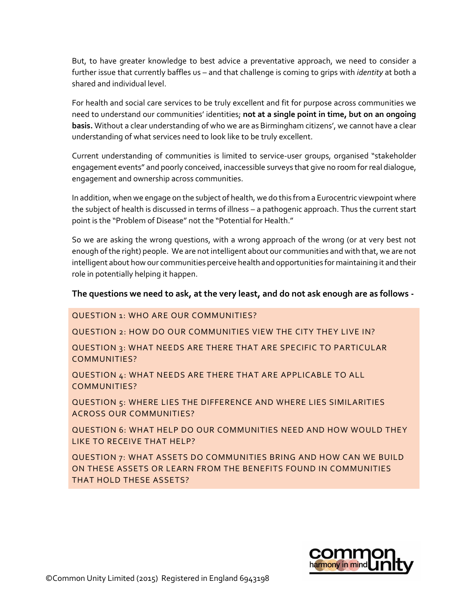But, to have greater knowledge to best advice a preventative approach, we need to consider a further issue that currently baffles us – and that challenge is coming to grips with *identity* at both a shared and individual level.

For health and social care services to be truly excellent and fit for purpose across communities we need to understand our communities' identities; **not at a single point in time, but on an ongoing basis.** Without a clear understanding of who we are as Birmingham citizens', we cannot have a clear understanding of what services need to look like to be truly excellent.

Current understanding of communities is limited to service-user groups, organised "stakeholder engagement events" and poorly conceived, inaccessible surveys that give no room for real dialogue, engagement and ownership across communities.

In addition, when we engage on the subject of health, we do this from a Eurocentric viewpoint where the subject of health is discussed in terms of illness – a pathogenic approach. Thus the current start point is the "Problem of Disease" not the "Potential for Health."

So we are asking the wrong questions, with a wrong approach of the wrong (or at very best not enough of the right) people. We are not intelligent about our communities and with that, we are not intelligent about how our communities perceive health and opportunities for maintaining it and their role in potentially helping it happen.

#### **The questions we need to ask, at the very least, and do not ask enough are as follows -**

#### QUESTION 1: WHO ARE OUR COMMUNITIES?

QUESTION 2: HOW DO OUR COMMUNITIES VIEW THE CITY THEY LIVE IN?

QUESTION 3: WHAT NEEDS ARE THERE THAT ARE SPECIFIC TO PARTICULAR COMMUNITIES?

QUESTION 4: WHAT NEEDS ARE THERE THAT ARE APPLICABLE TO ALL COMMUNITIES?

QUESTION 5: WHERE LIES THE DIFFERENCE AND WHERE LIES SIMILARITIES ACROSS OUR COMMUNITIES?

QUESTION 6: WHAT HELP DO OUR COMMUNITIES NEED AND HOW WOULD THEY LIKE TO RECEIVE THAT HELP?

QUESTION 7: WHAT ASSETS DO COMMUNITIES BRING AND HOW CAN WE BUILD ON THESE ASSETS OR LEARN FROM THE BENEFITS FOUND IN COMMUNITIES THAT HOLD THESE ASSETS?